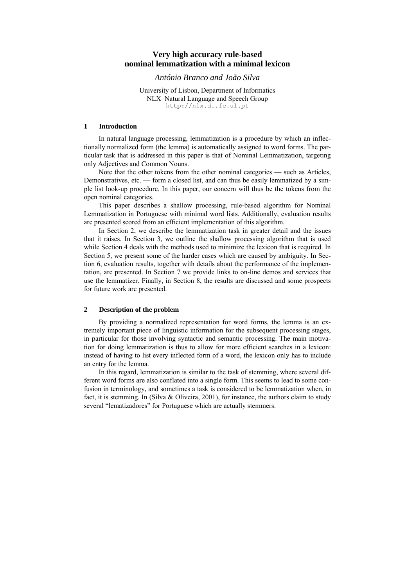# **Very high accuracy rule-based nominal lemmatization with a minimal lexicon**

*António Branco and João Silva* 

University of Lisbon, Department of Informatics NLX–Natural Language and Speech Group http://nlx.di.fc.ul.pt

# **1 Introduction**

In natural language processing, lemmatization is a procedure by which an inflectionally normalized form (the lemma) is automatically assigned to word forms. The particular task that is addressed in this paper is that of Nominal Lemmatization, targeting only Adjectives and Common Nouns.

Note that the other tokens from the other nominal categories — such as Articles, Demonstratives, etc. — form a closed list, and can thus be easily lemmatized by a simple list look-up procedure. In this paper, our concern will thus be the tokens from the open nominal categories.

This paper describes a shallow processing, rule-based algorithm for Nominal Lemmatization in Portuguese with minimal word lists. Additionally, evaluation results are presented scored from an efficient implementation of this algorithm.

In Section [2](#page-0-0), we describe the lemmatization task in greater detail and the issues that it raises. In Section [3](#page-1-0), we outline the shallow processing algorithm that is used while Section [4](#page-3-0) deals with the methods used to minimize the lexicon that is required. In Section [5](#page-8-0), we present some of the harder cases which are caused by ambiguity. In Section [6,](#page-10-0) evaluation results, together with details about the performance of the implementation, are presented. In Section [7](#page-11-0) we provide links to on-line demos and services that use the lemmatizer. Finally, in Section [8,](#page-11-1) the results are discussed and some prospects for future work are presented.

## <span id="page-0-0"></span>**2 Description of the problem**

By providing a normalized representation for word forms, the lemma is an extremely important piece of linguistic information for the subsequent processing stages, in particular for those involving syntactic and semantic processing. The main motivation for doing lemmatization is thus to allow for more efficient searches in a lexicon: instead of having to list every inflected form of a word, the lexicon only has to include an entry for the lemma.

In this regard, lemmatization is similar to the task of stemming, where several different word forms are also conflated into a single form. This seems to lead to some confusion in terminology, and sometimes a task is considered to be lemmatization when, in fact, it is stemming. In (Silva & Oliveira, 2001), for instance, the authors claim to study several "lematizadores" for Portuguese which are actually stemmers.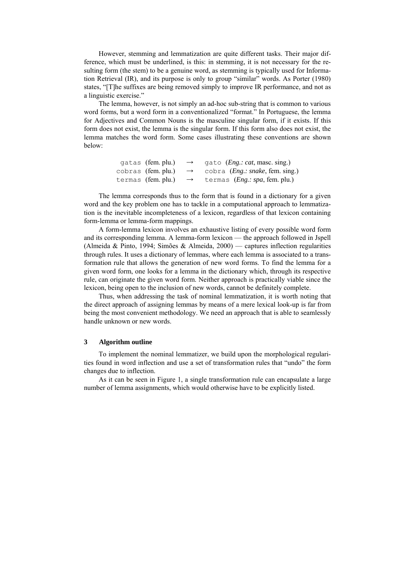However, stemming and lemmatization are quite different tasks. Their major difference, which must be underlined, is this: in stemming, it is not necessary for the resulting form (the stem) to be a genuine word, as stemming is typically used for Information Retrieval (IR), and its purpose is only to group "similar" words. As Porter (1980) states, "[T]he suffixes are being removed simply to improve IR performance, and not as a linguistic exercise."

The lemma, however, is not simply an ad-hoc sub-string that is common to various word forms, but a word form in a conventionalized "format." In Portuguese, the lemma for Adjectives and Common Nouns is the masculine singular form, if it exists. If this form does not exist, the lemma is the singular form. If this form also does not exist, the lemma matches the word form. Some cases illustrating these conventions are shown below:

> gatas (fem. plu.)  $\rightarrow$  gato (*Eng.: cat*, masc. sing.) cobras (fem. plu.) → cobra (*Eng.: snake*, fem. sing.) termas (fem. plu.) → termas (*Eng.: spa*, fem. plu.)

The lemma corresponds thus to the form that is found in a dictionary for a given word and the key problem one has to tackle in a computational approach to lemmatization is the inevitable incompleteness of a lexicon, regardless of that lexicon containing form-lemma or lemma-form mappings.

A form-lemma lexicon involves an exhaustive listing of every possible word form and its corresponding lemma. A lemma-form lexicon — the approach followed in Jspell (Almeida & Pinto, 1994; Simões & Almeida, 2000) — captures inflection regularities through rules. It uses a dictionary of lemmas, where each lemma is associated to a transformation rule that allows the generation of new word forms. To find the lemma for a given word form, one looks for a lemma in the dictionary which, through its respective rule, can originate the given word form. Neither approach is practically viable since the lexicon, being open to the inclusion of new words, cannot be definitely complete.

Thus, when addressing the task of nominal lemmatization, it is worth noting that the direct approach of assigning lemmas by means of a mere lexical look-up is far from being the most convenient methodology. We need an approach that is able to seamlessly handle unknown or new words.

#### <span id="page-1-0"></span>**3 Algorithm outline**

To implement the nominal lemmatizer, we build upon the morphological regularities found in word inflection and use a set of transformation rules that "undo" the form changes due to inflection.

As it can be seen in Figure 1, a single transformation rule can encapsulate a large number of lemma assignments, which would otherwise have to be explicitly listed.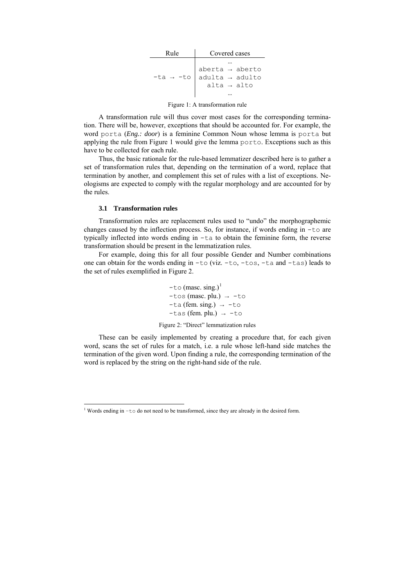| Rule                  | Covered cases                                                                   |  |
|-----------------------|---------------------------------------------------------------------------------|--|
| $-ta \rightarrow -to$ | $aberta \rightarrow aberto$ $adulta \rightarrow adulto$ $alta \rightarrow alto$ |  |

Figure 1: A transformation rule

A transformation rule will thus cover most cases for the corresponding termination. There will be, however, exceptions that should be accounted for. For example, the word porta (*Eng.: door*) is a feminine Common Noun whose lemma is porta but applying the rule from Figure 1 would give the lemma porto. Exceptions such as this have to be collected for each rule.

Thus, the basic rationale for the rule-based lemmatizer described here is to gather a set of transformation rules that, depending on the termination of a word, replace that termination by another, and complement this set of rules with a list of exceptions. Neologisms are expected to comply with the regular morphology and are accounted for by the rules.

# **3.1 Transformation rules**

-

Transformation rules are replacement rules used to "undo" the morphographemic changes caused by the inflection process. So, for instance, if words ending in -to are typically inflected into words ending in -ta to obtain the feminine form, the reverse transformation should be present in the lemmatization rules.

For example, doing this for all four possible Gender and Number combinations one can obtain for the words ending in -to (viz. -to, -tos, -ta and -tas) leads to the set of rules exemplified in Figure 2.

> $-t$ o (masc. sing.)<sup>[1](#page-2-0)</sup>  $-tos$  (masc. plu.)  $\rightarrow -to$  $-ta$  (fem. sing.)  $\rightarrow -t0$  $-tas$  (fem. plu.)  $\rightarrow -to$ Figure 2: "Direct" lemmatization rules

These can be easily implemented by creating a procedure that, for each given word, scans the set of rules for a match, i.e. a rule whose left-hand side matches the termination of the given word. Upon finding a rule, the corresponding termination of the word is replaced by the string on the right-hand side of the rule.

<span id="page-2-0"></span><sup>&</sup>lt;sup>1</sup> Words ending in -to do not need to be transformed, since they are already in the desired form.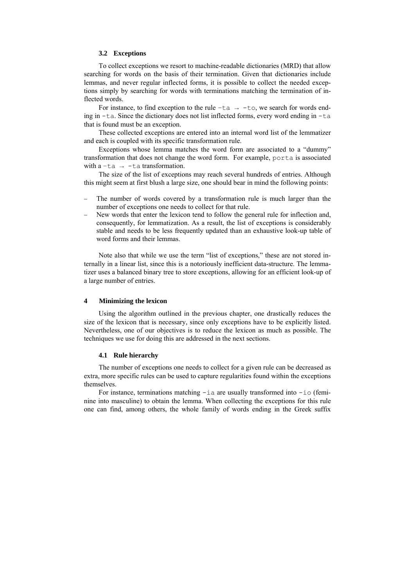#### **3.2 Exceptions**

To collect exceptions we resort to machine-readable dictionaries (MRD) that allow searching for words on the basis of their termination. Given that dictionaries include lemmas, and never regular inflected forms, it is possible to collect the needed exceptions simply by searching for words with terminations matching the termination of inflected words.

For instance, to find exception to the rule  $-\text{ta} \rightarrow -\text{to}$ , we search for words ending in -ta. Since the dictionary does not list inflected forms, every word ending in -ta that is found must be an exception.

These collected exceptions are entered into an internal word list of the lemmatizer and each is coupled with its specific transformation rule.

Exceptions whose lemma matches the word form are associated to a "dummy" transformation that does not change the word form. For example, porta is associated with a  $-ta \rightarrow -ta$  transformation.

The size of the list of exceptions may reach several hundreds of entries. Although this might seem at first blush a large size, one should bear in mind the following points:

- The number of words covered by a transformation rule is much larger than the number of exceptions one needs to collect for that rule.
- New words that enter the lexicon tend to follow the general rule for inflection and, consequently, for lemmatization. As a result, the list of exceptions is considerably stable and needs to be less frequently updated than an exhaustive look-up table of word forms and their lemmas.

Note also that while we use the term "list of exceptions," these are not stored internally in a linear list, since this is a notoriously inefficient data-structure. The lemmatizer uses a balanced binary tree to store exceptions, allowing for an efficient look-up of a large number of entries.

# <span id="page-3-0"></span>**4 Minimizing the lexicon**

Using the algorithm outlined in the previous chapter, one drastically reduces the size of the lexicon that is necessary, since only exceptions have to be explicitly listed. Nevertheless, one of our objectives is to reduce the lexicon as much as possible. The techniques we use for doing this are addressed in the next sections.

## **4.1 Rule hierarchy**

The number of exceptions one needs to collect for a given rule can be decreased as extra, more specific rules can be used to capture regularities found within the exceptions themselves.

For instance, terminations matching  $-i$  a are usually transformed into  $-i$  of feminine into masculine) to obtain the lemma. When collecting the exceptions for this rule one can find, among others, the whole family of words ending in the Greek suffix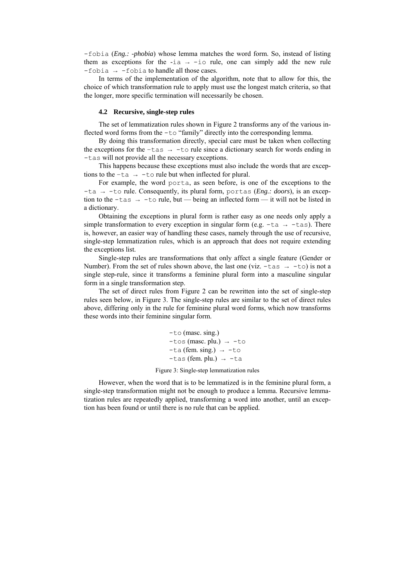-fobia (*Eng.: -phobia*) whose lemma matches the word form. So, instead of listing them as exceptions for the  $-ia \rightarrow -i\circ$  rule, one can simply add the new rule  $-fobia \rightarrow -fobia$  to handle all those cases.

In terms of the implementation of the algorithm, note that to allow for this, the choice of which transformation rule to apply must use the longest match criteria, so that the longer, more specific termination will necessarily be chosen.

# **4.2 Recursive, single-step rules**

The set of lemmatization rules shown in Figure 2 transforms any of the various inflected word forms from the -to "family" directly into the corresponding lemma.

By doing this transformation directly, special care must be taken when collecting the exceptions for the  $-\text{tas} \rightarrow -\text{to}$  rule since a dictionary search for words ending in -tas will not provide all the necessary exceptions.

This happens because these exceptions must also include the words that are exceptions to the  $-ta \rightarrow -to$  rule but when inflected for plural.

For example, the word porta, as seen before, is one of the exceptions to the -ta → -to rule. Consequently, its plural form, portas (*Eng.: doors*), is an exception to the -tas  $\rightarrow$  -to rule, but — being an inflected form — it will not be listed in a dictionary.

Obtaining the exceptions in plural form is rather easy as one needs only apply a simple transformation to every exception in singular form (e.g.  $-ta \rightarrow -\tau a s$ ). There is, however, an easier way of handling these cases, namely through the use of recursive, single-step lemmatization rules, which is an approach that does not require extending the exceptions list.

Single-step rules are transformations that only affect a single feature (Gender or Number). From the set of rules shown above, the last one (viz.  $-\text{tas } \rightarrow -\text{to}$ ) is not a single step-rule, since it transforms a feminine plural form into a masculine singular form in a single transformation step.

The set of direct rules from Figure 2 can be rewritten into the set of single-step rules seen below, in Figure 3. The single-step rules are similar to the set of direct rules above, differing only in the rule for feminine plural word forms, which now transforms these words into their feminine singular form.

> -to (masc. sing.)  $-tos$  (masc. plu.)  $\rightarrow -to$  $-ta$  (fem. sing.)  $\rightarrow -t\circ$  $-tas$  (fem. plu.)  $\rightarrow -ta$

Figure 3: Single-step lemmatization rules

However, when the word that is to be lemmatized is in the feminine plural form, a single-step transformation might not be enough to produce a lemma. Recursive lemmatization rules are repeatedly applied, transforming a word into another, until an exception has been found or until there is no rule that can be applied.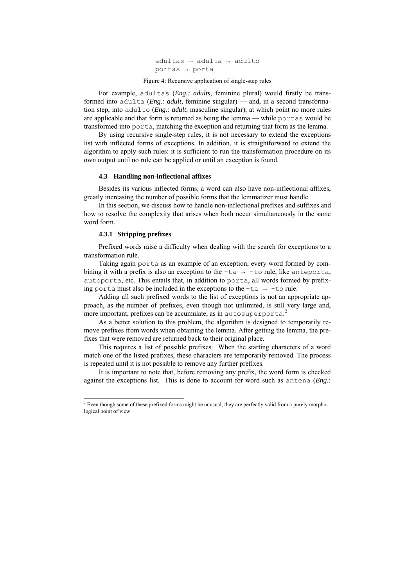adultas → adulta → adulto portas → porta

Figure 4: Recursive application of single-step rules

For example, adultas (*Eng.: adults*, feminine plural) would firstly be transformed into adulta (*Eng.: adult*, feminine singular) — and, in a second transformation step, into adulto (*Eng.: adult*, masculine singular), at which point no more rules are applicable and that form is returned as being the lemma — while portas would be transformed into porta, matching the exception and returning that form as the lemma.

By using recursive single-step rules, it is not necessary to extend the exceptions list with inflected forms of exceptions. In addition, it is straightforward to extend the algorithm to apply such rules: it is sufficient to run the transformation procedure on its own output until no rule can be applied or until an exception is found.

#### **4.3 Handling non-inflectional affixes**

Besides its various inflected forms, a word can also have non-inflectional affixes, greatly increasing the number of possible forms that the lemmatizer must handle.

In this section, we discuss how to handle non-inflectional prefixes and suffixes and how to resolve the complexity that arises when both occur simultaneously in the same word form.

## **4.3.1 Stripping prefixes**

Prefixed words raise a difficulty when dealing with the search for exceptions to a transformation rule.

Taking again porta as an example of an exception, every word formed by combining it with a prefix is also an exception to the  $-ta \rightarrow -t$  rule, like anteporta, autoporta, etc. This entails that, in addition to porta, all words formed by prefixing porta must also be included in the exceptions to the  $-\text{ta} \rightarrow -\text{to rule}$ .

Adding all such prefixed words to the list of exceptions is not an appropriate approach, as the number of prefixes, even though not unlimited, is still very large and, more important, prefixes can be accumulate, as in autosuperporta. [2](#page-5-0)

As a better solution to this problem, the algorithm is designed to temporarily remove prefixes from words when obtaining the lemma. After getting the lemma, the prefixes that were removed are returned back to their original place.

This requires a list of possible prefixes. When the starting characters of a word match one of the listed prefixes, these characters are temporarily removed. The process is repeated until it is not possible to remove any further prefixes.

It is important to note that, before removing any prefix, the word form is checked against the exceptions list. This is done to account for word such as antena (*Eng.:* 

<span id="page-5-0"></span> 2 Even though some of these prefixed forms might be unusual, they are perfectly valid from a purely morphological point of view.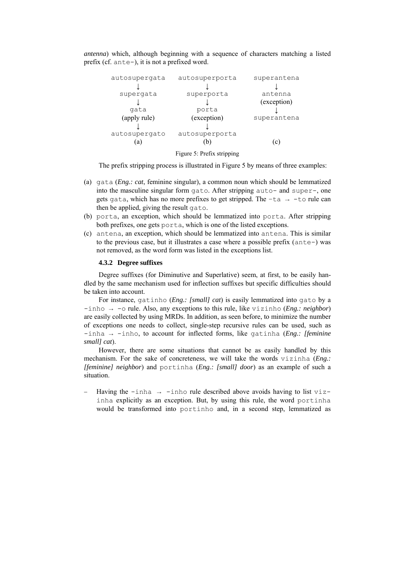*antenna*) which, although beginning with a sequence of characters matching a listed prefix (cf. ante-), it is not a prefixed word.

| autosupergata | autosuperporta | superantena |
|---------------|----------------|-------------|
|               |                |             |
| supergata     | superporta     | antenna     |
|               |                | (exception) |
| gata          | porta          |             |
| (apply rule)  | (exception)    | superantena |
|               |                |             |
| autosupergato | autosuperporta |             |
| a             | b.             | (C)         |



The prefix stripping process is illustrated in Figure 5 by means of three examples:

- (a) gata (*Eng.: cat*, feminine singular), a common noun which should be lemmatized into the masculine singular form gato. After stripping auto- and super-, one gets gata, which has no more prefixes to get stripped. The  $-ta \rightarrow -t$  rule can then be applied, giving the result gato.
- (b) porta, an exception, which should be lemmatized into porta. After stripping both prefixes, one gets porta, which is one of the listed exceptions.
- (c) antena, an exception, which should be lemmatized into antena. This is similar to the previous case, but it illustrates a case where a possible prefix (ante-) was not removed, as the word form was listed in the exceptions list.

#### **4.3.2 Degree suffixes**

Degree suffixes (for Diminutive and Superlative) seem, at first, to be easily handled by the same mechanism used for inflection suffixes but specific difficulties should be taken into account.

For instance, gatinho (*Eng.: [small] cat*) is easily lemmatized into gato by a -inho → -o rule. Also, any exceptions to this rule, like vizinho (*Eng.: neighbor*) are easily collected by using MRDs. In addition, as seen before, to minimize the number of exceptions one needs to collect, single-step recursive rules can be used, such as -inha → -inho, to account for inflected forms, like gatinha (*Eng.: [feminine small] cat*).

However, there are some situations that cannot be as easily handled by this mechanism. For the sake of concreteness, we will take the words vizinha (*Eng.: [feminine] neighbor*) and portinha (*Eng.: [small] door*) as an example of such a situation.

Having the -inha  $\rightarrow$  -inho rule described above avoids having to list vizinha explicitly as an exception. But, by using this rule, the word portinha would be transformed into portinho and, in a second step, lemmatized as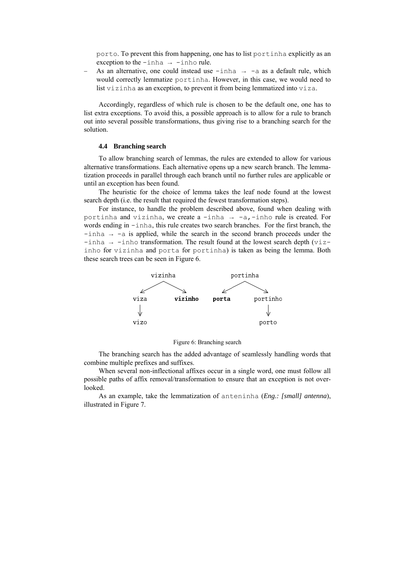porto. To prevent this from happening, one has to list portinha explicitly as an exception to the  $-$ inha  $\rightarrow$  -inho rule.

As an alternative, one could instead use  $-$ inha  $\rightarrow -$ a as a default rule, which would correctly lemmatize portinha. However, in this case, we would need to list vizinha as an exception, to prevent it from being lemmatized into viza.

Accordingly, regardless of which rule is chosen to be the default one, one has to list extra exceptions. To avoid this, a possible approach is to allow for a rule to branch out into several possible transformations, thus giving rise to a branching search for the solution.

#### **4.4 Branching search**

To allow branching search of lemmas, the rules are extended to allow for various alternative transformations. Each alternative opens up a new search branch. The lemmatization proceeds in parallel through each branch until no further rules are applicable or until an exception has been found.

The heuristic for the choice of lemma takes the leaf node found at the lowest search depth (i.e. the result that required the fewest transformation steps).

For instance, to handle the problem described above, found when dealing with portinha and vizinha, we create a -inha  $\rightarrow$  -a,-inho rule is created. For words ending in -inha, this rule creates two search branches. For the first branch, the  $-i$ nha  $\rightarrow$  -a is applied, while the search in the second branch proceeds under the  $-i$ nha  $\rightarrow$  -inho transformation. The result found at the lowest search depth (vizinho for vizinha and porta for portinha) is taken as being the lemma. Both these search trees can be seen in Figure 6.



Figure 6: Branching search

The branching search has the added advantage of seamlessly handling words that combine multiple prefixes and suffixes.

When several non-inflectional affixes occur in a single word, one must follow all possible paths of affix removal/transformation to ensure that an exception is not overlooked.

As an example, take the lemmatization of anteninha (*Eng.: [small] antenna*), illustrated in Figure 7.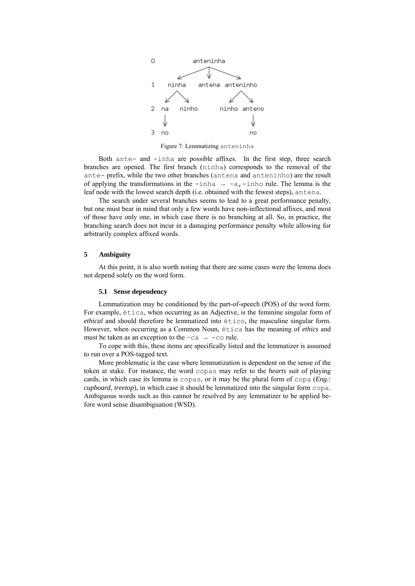

Figure 7: Lemmatizing anteninha

Both ante- and -inha are possible affixes. In the first step, three search branches are opened. The first branch (ninha) corresponds to the removal of the ante- prefix, while the two other branches (antena and anteninho) are the result of applying the transformations in the  $-$ inha  $\rightarrow -a$ ,  $-$ inho rule. The lemma is the leaf node with the lowest search depth (i.e. obtained with the fewest steps), antena.

The search under several branches seems to lead to a great performance penalty, but one must bear in mind that only a few words have non-inflectional affixes, and most of those have only one, in which case there is no branching at all. So, in practice, the branching search does not incur in a damaging performance penalty while allowing for arbitrarily complex affixed words.

# <span id="page-8-0"></span>**5 Ambiguity**

At this point, it is also worth noting that there are some cases were the lemma does not depend solely on the word form.

#### **5.1 Sense dependency**

Lemmatization may be conditioned by the part-of-speech (POS) of the word form. For example, ética, when occurring as an Adjective, is the feminine singular form of *ethical* and should therefore be lemmatized into ético, the masculine singular form. However, when occurring as a Common Noun, ética has the meaning of *ethics* and must be taken as an exception to the  $-ca \rightarrow -c$  rule.

To cope with this, these items are specifically listed and the lemmatizer is assumed to run over a POS-tagged text.

More problematic is the case where lemmatization is dependent on the sense of the token at stake. For instance, the word copas may refer to the *hearts* suit of playing cards, in which case its lemma is copas, or it may be the plural form of copa (*Eng.: cupboard*, *treetop*), in which case it should be lemmatized into the singular form copa. Ambiguous words such as this cannot be resolved by any lemmatizer to be applied before word sense disambiguation (WSD).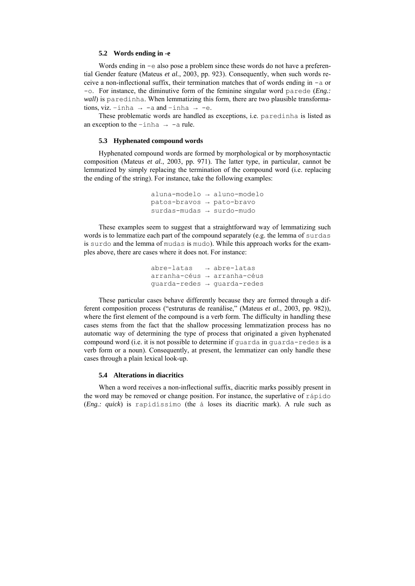## **5.2 Words ending in -e**

Words ending in  $-e$  also pose a problem since these words do not have a preferential Gender feature (Mateus *et al.*, 2003, pp. 923). Consequently, when such words receive a non-inflectional suffix, their termination matches that of words ending in  $-a$  or -o. For instance, the diminutive form of the feminine singular word parede (*Eng.: wall*) is paredinha. When lemmatizing this form, there are two plausible transformations, viz. -inha  $\rightarrow$  -a and -inha  $\rightarrow$  -e.

These problematic words are handled as exceptions, i.e. paredinha is listed as an exception to the  $-$ inha  $\rightarrow$  -a rule.

## **5.3 Hyphenated compound words**

Hyphenated compound words are formed by morphological or by morphosyntactic composition (Mateus *et al.*, 2003, pp. 971). The latter type, in particular, cannot be lemmatized by simply replacing the termination of the compound word (i.e. replacing the ending of the string). For instance, take the following examples:

```
aluna-modelo → aluno-modelo
patos-bravos → pato-bravo 
surdas-mudas → surdo-mudo
```
These examples seem to suggest that a straightforward way of lemmatizing such words is to lemmatize each part of the compound separately (e.g. the lemma of surdas is surdo and the lemma of mudas is mudo). While this approach works for the examples above, there are cases where it does not. For instance:

> abre-latas → abre-latas arranha-céus → arranha-céus guarda-redes → guarda-redes

These particular cases behave differently because they are formed through a different composition process ("estruturas de reanálise," (Mateus *et al.*, 2003, pp. 982)), where the first element of the compound is a verb form. The difficulty in handling these cases stems from the fact that the shallow processing lemmatization process has no automatic way of determining the type of process that originated a given hyphenated compound word (i.e. it is not possible to determine if guarda in guarda-redes is a verb form or a noun). Consequently, at present, the lemmatizer can only handle these cases through a plain lexical look-up.

#### **5.4 Alterations in diacritics**

When a word receives a non-inflectional suffix, diacritic marks possibly present in the word may be removed or change position. For instance, the superlative of rápido (*Eng.: quick*) is rapidíssimo (the á loses its diacritic mark). A rule such as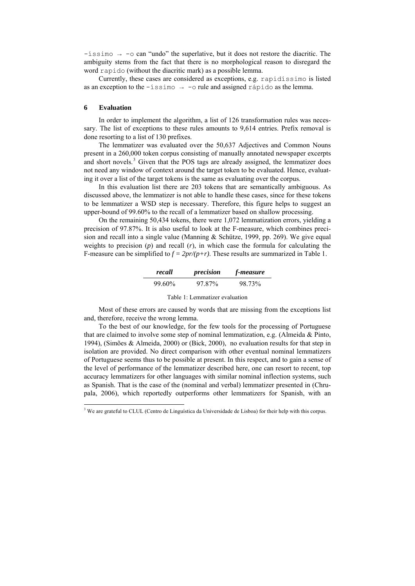$-i$ ssimo  $\rightarrow$  -0 can "undo" the superlative, but it does not restore the diacritic. The ambiguity stems from the fact that there is no morphological reason to disregard the word rapido (without the diacritic mark) as a possible lemma.

Currently, these cases are considered as exceptions, e.g. rapidíssimo is listed as an exception to the  $-i$ ssimo  $\rightarrow -\infty$  rule and assigned rápido as the lemma.

#### <span id="page-10-0"></span>**6 Evaluation**

In order to implement the algorithm, a list of 126 transformation rules was necessary. The list of exceptions to these rules amounts to 9,614 entries. Prefix removal is done resorting to a list of 130 prefixes.

The lemmatizer was evaluated over the 50,637 Adjectives and Common Nouns present in a 260,000 token corpus consisting of manually annotated newspaper excerpts and short novels.<sup>[3](#page-10-1)</sup> Given that the POS tags are already assigned, the lemmatizer does not need any window of context around the target token to be evaluated. Hence, evaluating it over a list of the target tokens is the same as evaluating over the corpus.

In this evaluation list there are 203 tokens that are semantically ambiguous. As discussed above, the lemmatizer is not able to handle these cases, since for these tokens to be lemmatizer a WSD step is necessary. Therefore, this figure helps to suggest an upper-bound of 99.60% to the recall of a lemmatizer based on shallow processing.

On the remaining 50,434 tokens, there were 1,072 lemmatization errors, yielding a precision of 97.87%. It is also useful to look at the F-measure, which combines precision and recall into a single value (Manning & Schütze, 1999, pp. 269). We give equal weights to precision  $(p)$  and recall  $(r)$ , in which case the formula for calculating the F-measure can be simplified to  $f = 2pr/(p+r)$ . These results are summarized in Table 1.

| recall | precision | <i>f-measure</i> |
|--------|-----------|------------------|
| 99.60% | 97.87%    | 98.73%           |

| Table 1: Lemmatizer evaluation |  |  |  |
|--------------------------------|--|--|--|
|--------------------------------|--|--|--|

Most of these errors are caused by words that are missing from the exceptions list and, therefore, receive the wrong lemma.

To the best of our knowledge, for the few tools for the processing of Portuguese that are claimed to involve some step of nominal lemmatization, e.g. (Almeida & Pinto, 1994), (Simões & Almeida, 2000) or (Bick, 2000), no evaluation results for that step in isolation are provided. No direct comparison with other eventual nominal lemmatizers of Portuguese seems thus to be possible at present. In this respect, and to gain a sense of the level of performance of the lemmatizer described here, one can resort to recent, top accuracy lemmatizers for other languages with similar nominal inflection systems, such as Spanish. That is the case of the (nominal and verbal) lemmatizer presented in (Chrupala, 2006), which reportedly outperforms other lemmatizers for Spanish, with an

<span id="page-10-1"></span> 3 We are grateful to CLUL (Centro de Linguística da Universidade de Lisboa) for their help with this corpus.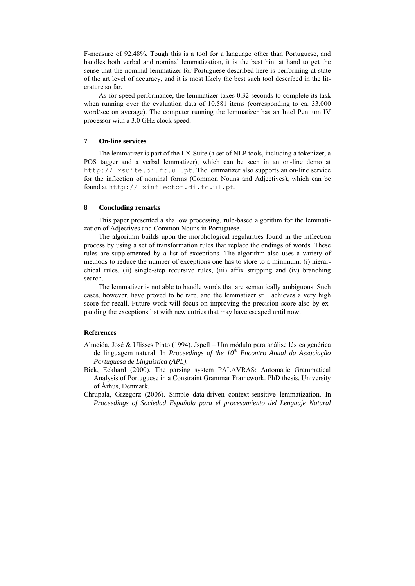F-measure of 92.48%. Tough this is a tool for a language other than Portuguese, and handles both verbal and nominal lemmatization, it is the best hint at hand to get the sense that the nominal lemmatizer for Portuguese described here is performing at state of the art level of accuracy, and it is most likely the best such tool described in the literature so far.

As for speed performance, the lemmatizer takes 0.32 seconds to complete its task when running over the evaluation data of 10,581 items (corresponding to ca. 33,000 word/sec on average). The computer running the lemmatizer has an Intel Pentium IV processor with a 3.0 GHz clock speed.

# <span id="page-11-0"></span>**7 On-line services**

The lemmatizer is part of the LX-Suite (a set of NLP tools, including a tokenizer, a POS tagger and a verbal lemmatizer), which can be seen in an on-line demo at http://lxsuite.di.fc.ul.pt. The lemmatizer also supports an on-line service for the inflection of nominal forms (Common Nouns and Adjectives), which can be found at http://lxinflector.di.fc.ul.pt.

#### <span id="page-11-1"></span>**8 Concluding remarks**

This paper presented a shallow processing, rule-based algorithm for the lemmatization of Adjectives and Common Nouns in Portuguese.

The algorithm builds upon the morphological regularities found in the inflection process by using a set of transformation rules that replace the endings of words. These rules are supplemented by a list of exceptions. The algorithm also uses a variety of methods to reduce the number of exceptions one has to store to a minimum: (i) hierarchical rules, (ii) single-step recursive rules, (iii) affix stripping and (iv) branching search.

The lemmatizer is not able to handle words that are semantically ambiguous. Such cases, however, have proved to be rare, and the lemmatizer still achieves a very high score for recall. Future work will focus on improving the precision score also by expanding the exceptions list with new entries that may have escaped until now.

# **References**

- Almeida, José & Ulisses Pinto (1994). Jspell Um módulo para análise léxica genérica de linguagem natural. In *Proceedings of the 10<sup>th</sup> Encontro Anual da Associação Portuguesa de Linguística (APL)*.
- Bick, Eckhard (2000). The parsing system PALAVRAS: Automatic Grammatical Analysis of Portuguese in a Constraint Grammar Framework. PhD thesis, University of Århus, Denmark.
- Chrupala, Grzegorz (2006). Simple data-driven context-sensitive lemmatization. In *Proceedings of Sociedad Española para el procesamiento del Lenguaje Natural*